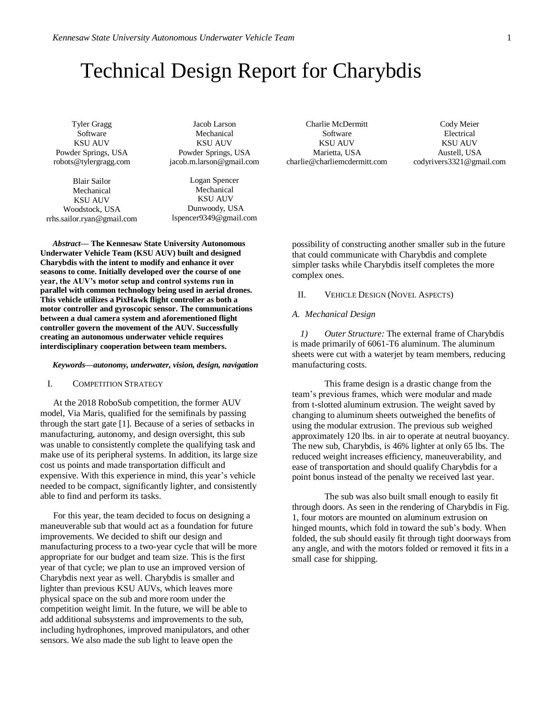# Technical Design Report for Charybdis

Tyler Gragg Software KSU AUV Powder Springs, USA robots@tylergragg.com

Blair Sailor Mechanical KSU AUV Woodstock, USA rrhs.sailor.ryan@gmail.com

Jacob Larson Mechanical KSU AUV Powder Springs, USA jacob.m.larson@gmail.com

Logan Spencer Mechanical KSU AUV Dunwoody, USA lspencer9349@gmail.com

*Abstract***— The Kennesaw State University Autonomous Underwater Vehicle Team (KSU AUV) built and designed Charybdis with the intent to modify and enhance it over seasons to come. Initially developed over the course of one year, the AUV's motor setup and control systems run in parallel with common technology being used in aerial drones. This vehicle utilizes a PixHawk flight controller as both a motor controller and gyroscopic sensor. The communications between a dual camera system and aforementioned flight controller govern the movement of the AUV. Successfully creating an autonomous underwater vehicle requires interdisciplinary cooperation between team members.**

#### *Keywords—autonomy, underwater, vision, design, navigation*

#### I. COMPETITION STRATEGY

At the 2018 RoboSub competition, the former AUV model, Via Maris, qualified for the semifinals by passing through the start gate [1]. Because of a series of setbacks in manufacturing, autonomy, and design oversight, this sub was unable to consistently complete the qualifying task and make use of its peripheral systems. In addition, its large size cost us points and made transportation difficult and expensive. With this experience in mind, this year's vehicle needed to be compact, significantly lighter, and consistently able to find and perform its tasks.

For this year, the team decided to focus on designing a maneuverable sub that would act as a foundation for future improvements. We decided to shift our design and manufacturing process to a two-year cycle that will be more appropriate for our budget and team size. This is the first year of that cycle; we plan to use an improved version of Charybdis next year as well. Charybdis is smaller and lighter than previous KSU AUVs, which leaves more physical space on the sub and more room under the competition weight limit. In the future, we will be able to add additional subsystems and improvements to the sub, including hydrophones, improved manipulators, and other sensors. We also made the sub light to leave open the

Charlie McDermitt Software KSU AUV Marietta, USA charlie@charliemcdermitt.com

Cody Meier Electrical KSU AUV Austell, USA codyrivers3321@gmail.com

possibility of constructing another smaller sub in the future that could communicate with Charybdis and complete simpler tasks while Charybdis itself completes the more complex ones.

#### II. VEHICLE DESIGN (NOVEL ASPECTS)

### *A. Mechanical Design*

*1) Outer Structure:* The external frame of Charybdis is made primarily of 6061-T6 aluminum. The aluminum sheets were cut with a waterjet by team members, reducing manufacturing costs.

This frame design is a drastic change from the team's previous frames, which were modular and made from t-slotted aluminum extrusion. The weight saved by changing to aluminum sheets outweighed the benefits of using the modular extrusion. The previous sub weighed approximately 120 lbs. in air to operate at neutral buoyancy. The new sub, Charybdis, is 46% lighter at only 65 lbs. The reduced weight increases efficiency, maneuverability, and ease of transportation and should qualify Charybdis for a point bonus instead of the penalty we received last year.

The sub was also built small enough to easily fit through doors. As seen in the rendering of Charybdis in Fig. 1, four motors are mounted on aluminum extrusion on hinged mounts, which fold in toward the sub's body. When folded, the sub should easily fit through tight doorways from any angle, and with the motors folded or removed it fits in a small case for shipping.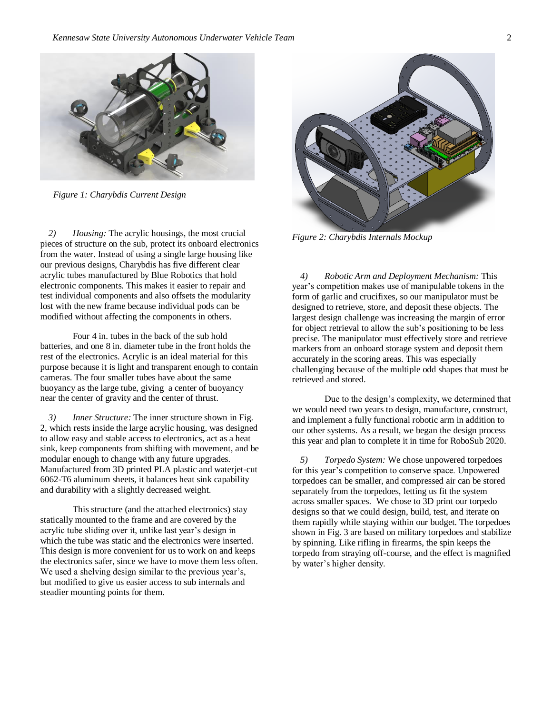

*Figure 1: Charybdis Current Design*

*2) Housing:* The acrylic housings, the most crucial pieces of structure on the sub, protect its onboard electronics from the water. Instead of using a single large housing like our previous designs, Charybdis has five different clear acrylic tubes manufactured by Blue Robotics that hold electronic components. This makes it easier to repair and test individual components and also offsets the modularity lost with the new frame because individual pods can be modified without affecting the components in others.

Four 4 in. tubes in the back of the sub hold batteries, and one 8 in. diameter tube in the front holds the rest of the electronics. Acrylic is an ideal material for this purpose because it is light and transparent enough to contain cameras. The four smaller tubes have about the same buoyancy as the large tube, giving a center of buoyancy near the center of gravity and the center of thrust.

*3) Inner Structure:* The inner structure shown in Fig. 2, which rests inside the large acrylic housing, was designed to allow easy and stable access to electronics, act as a heat sink, keep components from shifting with movement, and be modular enough to change with any future upgrades. Manufactured from 3D printed PLA plastic and waterjet-cut 6062-T6 aluminum sheets, it balances heat sink capability and durability with a slightly decreased weight.

This structure (and the attached electronics) stay statically mounted to the frame and are covered by the acrylic tube sliding over it, unlike last year's design in which the tube was static and the electronics were inserted. This design is more convenient for us to work on and keeps the electronics safer, since we have to move them less often. We used a shelving design similar to the previous year's, but modified to give us easier access to sub internals and steadier mounting points for them.



*Figure 2: Charybdis Internals Mockup*

*4) Robotic Arm and Deployment Mechanism:* This year's competition makes use of manipulable tokens in the form of garlic and crucifixes, so our manipulator must be designed to retrieve, store, and deposit these objects. The largest design challenge was increasing the margin of error for object retrieval to allow the sub's positioning to be less precise. The manipulator must effectively store and retrieve markers from an onboard storage system and deposit them accurately in the scoring areas. This was especially challenging because of the multiple odd shapes that must be retrieved and stored.

Due to the design's complexity, we determined that we would need two years to design, manufacture, construct, and implement a fully functional robotic arm in addition to our other systems. As a result, we began the design process this year and plan to complete it in time for RoboSub 2020.

*5) Torpedo System:* We chose unpowered torpedoes for this year's competition to conserve space. Unpowered torpedoes can be smaller, and compressed air can be stored separately from the torpedoes, letting us fit the system across smaller spaces. We chose to 3D print our torpedo designs so that we could design, build, test, and iterate on them rapidly while staying within our budget. The torpedoes shown in Fig. 3 are based on military torpedoes and stabilize by spinning. Like rifling in firearms, the spin keeps the torpedo from straying off-course, and the effect is magnified by water's higher density.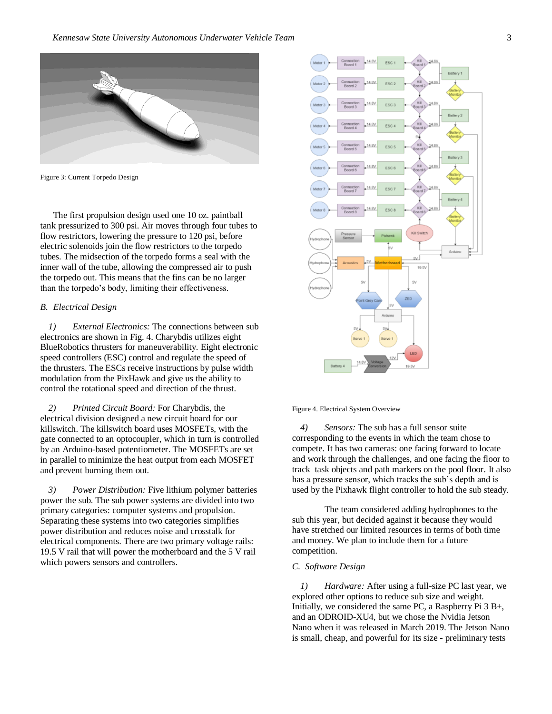

Figure 3: Current Torpedo Design

The first propulsion design used one 10 oz. paintball tank pressurized to 300 psi. Air moves through four tubes to flow restrictors, lowering the pressure to 120 psi, before electric solenoids join the flow restrictors to the torpedo tubes. The midsection of the torpedo forms a seal with the inner wall of the tube, allowing the compressed air to push the torpedo out. This means that the fins can be no larger than the torpedo's body, limiting their effectiveness.

# *B. Electrical Design*

*1) External Electronics:* The connections between sub electronics are shown in Fig. 4. Charybdis utilizes eight BlueRobotics thrusters for maneuverability. Eight electronic speed controllers (ESC) control and regulate the speed of the thrusters. The ESCs receive instructions by pulse width modulation from the PixHawk and give us the ability to control the rotational speed and direction of the thrust.

*2) Printed Circuit Board:* For Charybdis, the electrical division designed a new circuit board for our killswitch. The killswitch board uses MOSFETs, with the gate connected to an optocoupler, which in turn is controlled by an Arduino-based potentiometer. The MOSFETs are set in parallel to minimize the heat output from each MOSFET and prevent burning them out.

*3) Power Distribution:* Five lithium polymer batteries power the sub. The sub power systems are divided into two primary categories: computer systems and propulsion. Separating these systems into two categories simplifies power distribution and reduces noise and crosstalk for electrical components. There are two primary voltage rails: 19.5 V rail that will power the motherboard and the 5 V rail which powers sensors and controllers.



Figure 4. Electrical System Overview

*4) Sensors:* The sub has a full sensor suite corresponding to the events in which the team chose to compete. It has two cameras: one facing forward to locate and work through the challenges, and one facing the floor to track task objects and path markers on the pool floor. It also has a pressure sensor, which tracks the sub's depth and is used by the Pixhawk flight controller to hold the sub steady.

The team considered adding hydrophones to the sub this year, but decided against it because they would have stretched our limited resources in terms of both time and money. We plan to include them for a future competition.

### *C. Software Design*

*1) Hardware:* After using a full-size PC last year, we explored other options to reduce sub size and weight. Initially, we considered the same PC, a Raspberry Pi 3 B+, and an ODROID-XU4, but we chose the Nvidia Jetson Nano when it was released in March 2019. The Jetson Nano is small, cheap, and powerful for its size - preliminary tests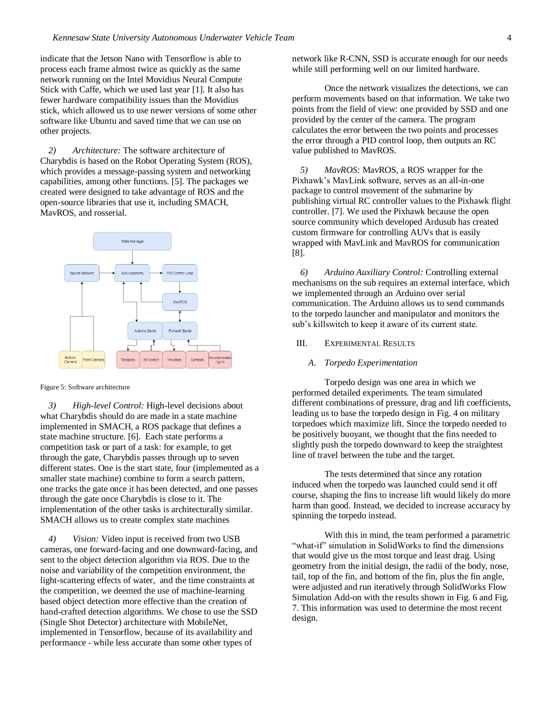indicate that the Jetson Nano with Tensorflow is able to process each frame almost twice as quickly as the same network running on the Intel Movidius Neural Compute Stick with Caffe, which we used last year [1]. It also has fewer hardware compatibility issues than the Movidius stick, which allowed us to use newer versions of some other software like Ubuntu and saved time that we can use on other projects.

*2) Architecture:* The software architecture of Charybdis is based on the Robot Operating System (ROS), which provides a message-passing system and networking capabilities, among other functions. [5]. The packages we created were designed to take advantage of ROS and the open-source libraries that use it, including SMACH, MavROS, and rosserial.



#### Figure 5: Software architecture

*3) High-level Control:* High-level decisions about what Charybdis should do are made in a state machine implemented in SMACH, a ROS package that defines a state machine structure. [6]. Each state performs a competition task or part of a task: for example, to get through the gate, Charybdis passes through up to seven different states. One is the start state, four (implemented as a smaller state machine) combine to form a search pattern, one tracks the gate once it has been detected, and one passes through the gate once Charybdis is close to it. The implementation of the other tasks is architecturally similar. SMACH allows us to create complex state machines

*4) Vision:* Video input is received from two USB cameras, one forward-facing and one downward-facing, and sent to the object detection algorithm via ROS. Due to the noise and variability of the competition environment, the light-scattering effects of water, and the time constraints at the competition, we deemed the use of machine-learning based object detection more effective than the creation of hand-crafted detection algorithms. We chose to use the SSD (Single Shot Detector) architecture with MobileNet, implemented in Tensorflow, because of its availability and performance - while less accurate than some other types of

network like R-CNN, SSD is accurate enough for our needs while still performing well on our limited hardware.

Once the network visualizes the detections, we can perform movements based on that information. We take two points from the field of view: one provided by SSD and one provided by the center of the camera. The program calculates the error between the two points and processes the error through a PID control loop, then outputs an RC value published to MavROS.

*5) MavROS:* MavROS, a ROS wrapper for the Pixhawk's MavLink software, serves as an all-in-one package to control movement of the submarine by publishing virtual RC controller values to the Pixhawk flight controller. [7]. We used the Pixhawk because the open source community which developed Ardusub has created custom firmware for controlling AUVs that is easily wrapped with MavLink and MavROS for communication [8].

*6) Arduino Auxiliary Control:* Controlling external mechanisms on the sub requires an external interface, which we implemented through an Arduino over serial communication. The Arduino allows us to send commands to the torpedo launcher and manipulator and monitors the sub's killswitch to keep it aware of its current state.

# III. EXPERIMENTAL RESULTS

#### *A. Torpedo Experimentation*

Torpedo design was one area in which we performed detailed experiments. The team simulated different combinations of pressure, drag and lift coefficients, leading us to base the torpedo design in Fig. 4 on military torpedoes which maximize lift. Since the torpedo needed to be positively buoyant, we thought that the fins needed to slightly push the torpedo downward to keep the straightest line of travel between the tube and the target.

The tests determined that since any rotation induced when the torpedo was launched could send it off course, shaping the fins to increase lift would likely do more harm than good. Instead, we decided to increase accuracy by spinning the torpedo instead.

With this in mind, the team performed a parametric "what-if" simulation in SolidWorks to find the dimensions that would give us the most torque and least drag. Using geometry from the initial design, the radii of the body, nose, tail, top of the fin, and bottom of the fin, plus the fin angle, were adjusted and run iteratively through SolidWorks Flow Simulation Add-on with the results shown in Fig. 6 and Fig. 7. This information was used to determine the most recent design.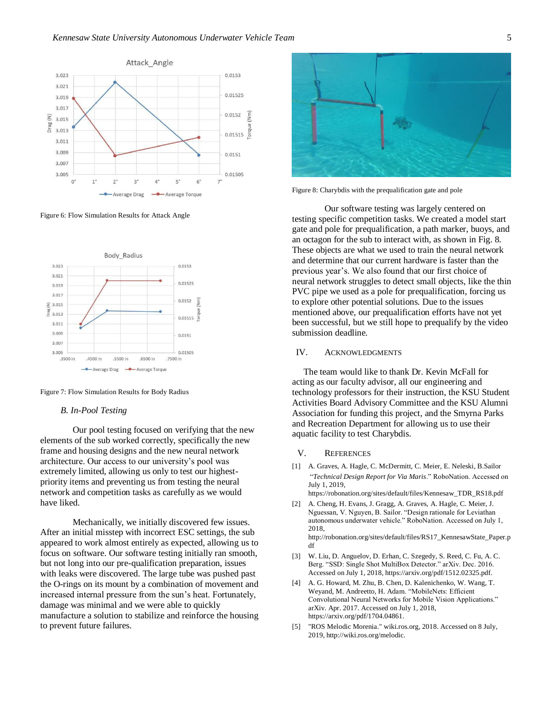

Figure 6: Flow Simulation Results for Attack Angle



Figure 7: Flow Simulation Results for Body Radius

#### *B. In-Pool Testing*

Our pool testing focused on verifying that the new elements of the sub worked correctly, specifically the new frame and housing designs and the new neural network architecture. Our access to our university's pool was extremely limited, allowing us only to test our highestpriority items and preventing us from testing the neural network and competition tasks as carefully as we would have liked.

Mechanically, we initially discovered few issues. After an initial misstep with incorrect ESC settings, the sub appeared to work almost entirely as expected, allowing us to focus on software. Our software testing initially ran smooth, but not long into our pre-qualification preparation, issues with leaks were discovered. The large tube was pushed past the O-rings on its mount by a combination of movement and increased internal pressure from the sun's heat. Fortunately, damage was minimal and we were able to quickly manufacture a solution to stabilize and reinforce the housing to prevent future failures.



Figure 8: Charybdis with the prequalification gate and pole

Our software testing was largely centered on testing specific competition tasks. We created a model start gate and pole for prequalification, a path marker, buoys, and an octagon for the sub to interact with, as shown in Fig. 8. These objects are what we used to train the neural network and determine that our current hardware is faster than the previous year's. We also found that our first choice of neural network struggles to detect small objects, like the thin PVC pipe we used as a pole for prequalification, forcing us to explore other potential solutions. Due to the issues mentioned above, our prequalification efforts have not yet been successful, but we still hope to prequalify by the video submission deadline.

# IV. ACKNOWLEDGMENTS

 The team would like to thank Dr. Kevin McFall for acting as our faculty advisor, all our engineering and technology professors for their instruction, the KSU Student Activities Board Advisory Committee and the KSU Alumni Association for funding this project, and the Smyrna Parks and Recreation Department for allowing us to use their aquatic facility to test Charybdis.

#### V. REFERENCES

- [1] A. Graves, A. Hagle, C. McDermitt, C. Meier, E. Neleski, B.Sailor "*Technical Design Report for Via Maris*." RoboNation. Accessed on July 1, 2019, https://robonation.org/sites/default/files/Kennesaw\_TDR\_RS18.pdf
- [2] A. Cheng, H. Evans, J. Gragg, A. Graves, A. Hagle, C. Meier, J. Nguessan, V. Nguyen, B. Sailor. "Design rationale for Leviathan autonomous underwater vehicle." RoboNation. Accessed on July 1, 2018,

http://robonation.org/sites/default/files/RS17\_KennesawState\_Paper.p df

- [3] W. Liu, D. Anguelov, D. Erhan, C. Szegedy, S. Reed, C. Fu, A. C. Berg. "SSD: Single Shot MultiBox Detector." arXiv. Dec. 2016. Accessed on July 1, 2018, https://arxiv.org/pdf/1512.02325.pdf.
- [4] A. G. Howard, M. Zhu, B. Chen, D. Kalenichenko, W. Wang, T. Weyand, M. Andreetto, H. Adam. "MobileNets: Efficient Convolutional Neural Networks for Mobile Vision Applications." arXiv. Apr. 2017. Accessed on July 1, 2018, https://arxiv.org/pdf/1704.04861.
- [5] "ROS Melodic Morenia." wiki.ros.org, 2018. Accessed on 8 July, 2019, http://wiki.ros.org/melodic.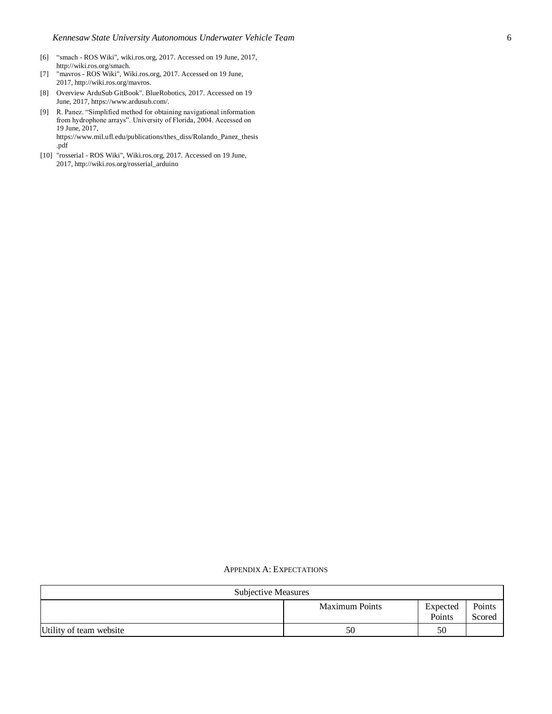- [6] "smach ROS Wiki", wiki.ros.org, 2017. Accessed on 19 June, 2017, http://wiki.ros.org/smach.
- [7] "mavros ROS Wiki", Wiki.ros.org, 2017. Accessed on 19 June, 2017, http://wiki.ros.org/mavros.
- [8] Overview ArduSub GitBook". BlueRobotics, 2017. Accessed on 19 June, 2017, https://www.ardusub.com/.
- [9] R. Panez. "Simplified method for obtaining navigational information from hydrophone arrays". University of Florida, 2004. Accessed on 19 June, 2017, https://www.mil.ufl.edu/publications/thes\_diss/Rolando\_Panez\_thesis
- [10] "rosserial ROS Wiki", Wiki.ros.org, 2017. Accessed on 19 June, 2017, http://wiki.ros.org/rosserial\_arduino

.pdf

| <b>Subjective Measures</b> |                       |                    |                  |
|----------------------------|-----------------------|--------------------|------------------|
|                            | <b>Maximum Points</b> | Expected<br>Points | Points<br>Scored |
| Utility of team website    | 50                    | 50                 |                  |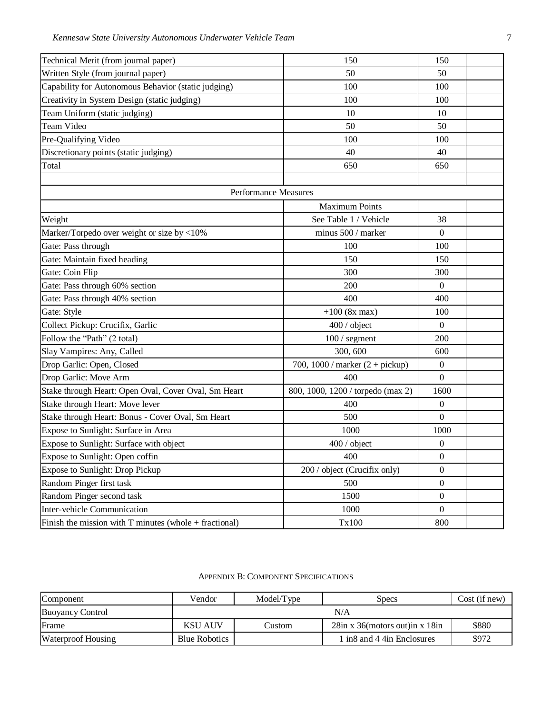| Technical Merit (from journal paper)                     | 150                                      | 150              |  |
|----------------------------------------------------------|------------------------------------------|------------------|--|
| Written Style (from journal paper)                       | 50                                       | 50               |  |
| Capability for Autonomous Behavior (static judging)      | 100                                      | 100              |  |
| Creativity in System Design (static judging)             | 100                                      | 100              |  |
| Team Uniform (static judging)                            | 10                                       | 10               |  |
| Team Video                                               | 50                                       | 50               |  |
| Pre-Qualifying Video                                     | 100                                      | 100              |  |
| Discretionary points (static judging)                    | 40                                       | 40               |  |
| Total                                                    | 650                                      | 650              |  |
|                                                          |                                          |                  |  |
|                                                          | Performance Measures                     |                  |  |
|                                                          | <b>Maximum Points</b>                    |                  |  |
| Weight                                                   | See Table 1 / Vehicle                    | 38               |  |
| Marker/Torpedo over weight or size by <10%               | minus 500 / marker                       | $\Omega$         |  |
| Gate: Pass through                                       | 100                                      | 100              |  |
| Gate: Maintain fixed heading                             | 150                                      | 150              |  |
| Gate: Coin Flip                                          | 300                                      | 300              |  |
| Gate: Pass through 60% section                           | 200                                      | $\overline{0}$   |  |
| Gate: Pass through 40% section                           | 400                                      | 400              |  |
| Gate: Style                                              | $+100$ (8x max)                          | 100              |  |
| Collect Pickup: Crucifix, Garlic                         | 400 / object                             | $\boldsymbol{0}$ |  |
| Follow the "Path" (2 total)                              | $100/$ segment                           | 200              |  |
| Slay Vampires: Any, Called                               | 300, 600                                 | 600              |  |
| Drop Garlic: Open, Closed                                | 700, 1000 / marker $(2 + \text{pickup})$ | $\mathbf{0}$     |  |
| Drop Garlic: Move Arm                                    | 400                                      | $\boldsymbol{0}$ |  |
| Stake through Heart: Open Oval, Cover Oval, Sm Heart     | 800, 1000, 1200 / torpedo (max 2)        | 1600             |  |
| Stake through Heart: Move lever                          | 400                                      | $\mathbf{0}$     |  |
| Stake through Heart: Bonus - Cover Oval, Sm Heart        | 500                                      | $\Omega$         |  |
| Expose to Sunlight: Surface in Area                      | 1000                                     | 1000             |  |
| Expose to Sunlight: Surface with object                  | 400 / object                             | $\boldsymbol{0}$ |  |
| Expose to Sunlight: Open coffin                          | 400                                      | $\boldsymbol{0}$ |  |
| Expose to Sunlight: Drop Pickup                          | 200 / object (Crucifix only)             | $\boldsymbol{0}$ |  |
| Random Pinger first task                                 | 500                                      | $\boldsymbol{0}$ |  |
| Random Pinger second task                                | 1500                                     | $\mathbf{0}$     |  |
| Inter-vehicle Communication                              | 1000                                     | $\Omega$         |  |
| Finish the mission with $T$ minutes (whole + fractional) | Tx100                                    | 800              |  |

# APPENDIX B: COMPONENT SPECIFICATIONS

| Component                 | Vendor               | Model/Type | <b>Specs</b>                        | Cost (if new) |
|---------------------------|----------------------|------------|-------------------------------------|---------------|
| <b>Buoyancy Control</b>   | N/A                  |            |                                     |               |
| Frame                     | <b>KSU AUV</b>       | Custom     | $28$ in x 36(motors out) in x 18 in | \$880         |
| <b>Waterproof Housing</b> | <b>Blue Robotics</b> |            | 1 in8 and 4 4in Enclosures          | \$972         |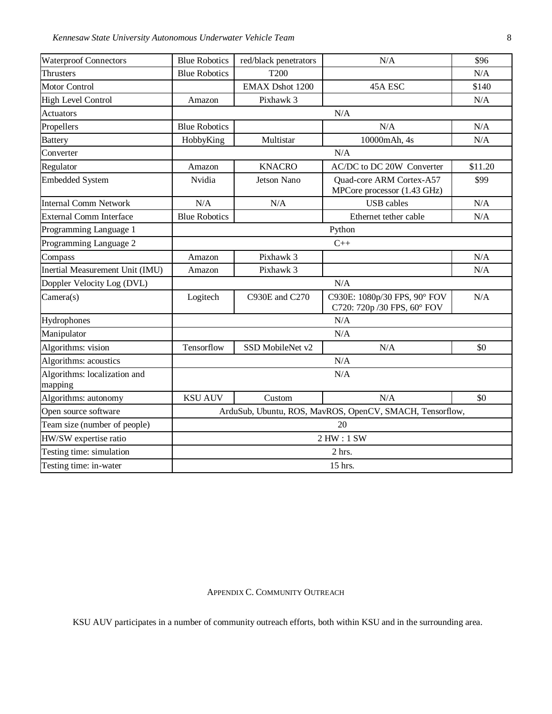*Kennesaw State University Autonomous Underwater Vehicle Team* 8

| <b>Waterproof Connectors</b>            | <b>Blue Robotics</b>                                     | red/black penetrators  | N/A                                                         | \$96    |
|-----------------------------------------|----------------------------------------------------------|------------------------|-------------------------------------------------------------|---------|
| <b>Thrusters</b>                        | <b>Blue Robotics</b>                                     | T <sub>200</sub>       |                                                             | N/A     |
| <b>Motor Control</b>                    |                                                          | <b>EMAX Dshot 1200</b> | 45A ESC                                                     | \$140   |
| <b>High Level Control</b>               | Amazon                                                   | Pixhawk 3              |                                                             | N/A     |
| <b>Actuators</b>                        |                                                          |                        | N/A                                                         |         |
| Propellers                              | <b>Blue Robotics</b>                                     |                        | N/A                                                         | N/A     |
| <b>Battery</b>                          | HobbyKing                                                | Multistar              | 10000mAh, 4s                                                | N/A     |
| Converter                               |                                                          | N/A                    |                                                             |         |
| Regulator                               | Amazon                                                   | <b>KNACRO</b>          | AC/DC to DC 20W Converter                                   | \$11.20 |
| <b>Embedded System</b>                  | Nvidia                                                   | <b>Jetson Nano</b>     | Quad-core ARM Cortex-A57<br>MPCore processor (1.43 GHz)     | \$99    |
| <b>Internal Comm Network</b>            | N/A                                                      | N/A                    | <b>USB</b> cables                                           | N/A     |
| <b>External Comm Interface</b>          | <b>Blue Robotics</b>                                     |                        | Ethernet tether cable                                       | N/A     |
| Programming Language 1                  | Python                                                   |                        |                                                             |         |
| Programming Language 2                  | $C++$                                                    |                        |                                                             |         |
| Compass                                 | Amazon                                                   | Pixhawk 3              |                                                             | N/A     |
| Inertial Measurement Unit (IMU)         | Amazon                                                   | Pixhawk 3              |                                                             | N/A     |
| Doppler Velocity Log (DVL)              | N/A                                                      |                        |                                                             |         |
| Camera(s)                               | Logitech                                                 | C930E and C270         | C930E: 1080p/30 FPS, 90° FOV<br>C720: 720p /30 FPS, 60° FOV | N/A     |
| Hydrophones                             |                                                          |                        | N/A                                                         |         |
| Manipulator                             | N/A                                                      |                        |                                                             |         |
| Algorithms: vision                      | Tensorflow                                               | SSD MobileNet v2       | N/A                                                         | \$0     |
| Algorithms: acoustics                   | N/A                                                      |                        |                                                             |         |
| Algorithms: localization and<br>mapping | N/A                                                      |                        |                                                             |         |
| Algorithms: autonomy                    | <b>KSU AUV</b>                                           | Custom                 | N/A                                                         | \$0     |
| Open source software                    | ArduSub, Ubuntu, ROS, MavROS, OpenCV, SMACH, Tensorflow, |                        |                                                             |         |
| Team size (number of people)            | 20                                                       |                        |                                                             |         |
| HW/SW expertise ratio                   | 2 HW: 1 SW                                               |                        |                                                             |         |
| Testing time: simulation                | 2 hrs.                                                   |                        |                                                             |         |
| Testing time: in-water                  | 15 hrs.                                                  |                        |                                                             |         |

# APPENDIX C. COMMUNITY OUTREACH

KSU AUV participates in a number of community outreach efforts, both within KSU and in the surrounding area.